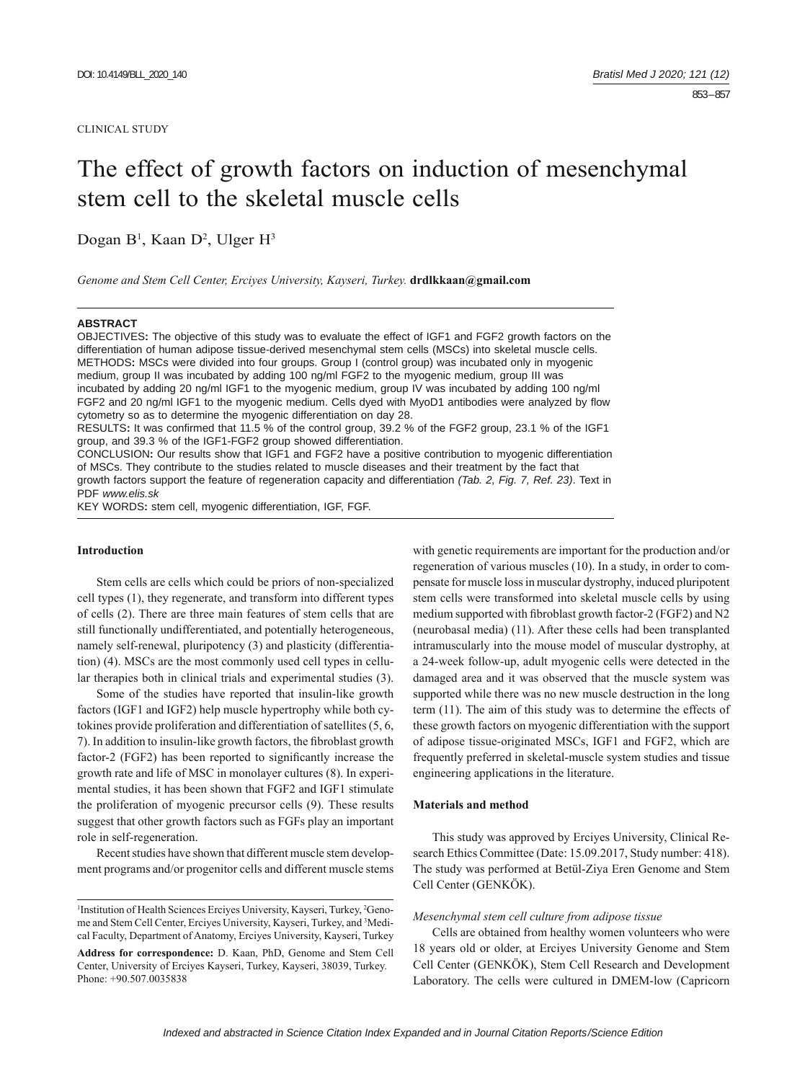#### CLINICAL STUDY

# The effect of growth factors on induction of mesenchymal stem cell to the skeletal muscle cells

Dogan B<sup>1</sup>, Kaan D<sup>2</sup>, Ulger H<sup>3</sup>

*Genome and Stem Cell Center, Erciyes University, Kayseri, Turkey.* **drdlkkaan@gmail.com**

#### **ABSTRACT**

OBJECTIVES**:** The objective of this study was to evaluate the effect of IGF1 and FGF2 growth factors on the differentiation of human adipose tissue-derived mesenchymal stem cells (MSCs) into skeletal muscle cells. METHODS**:** MSCs were divided into four groups. Group I (control group) was incubated only in myogenic medium, group II was incubated by adding 100 ng/ml FGF2 to the myogenic medium, group III was incubated by adding 20 ng/ml IGF1 to the myogenic medium, group IV was incubated by adding 100 ng/ml FGF2 and 20 ng/ml IGF1 to the myogenic medium. Cells dyed with MyoD1 antibodies were analyzed by flow cytometry so as to determine the myogenic differentiation on day 28. RESULTS: It was confirmed that 11.5 % of the control group, 39.2 % of the FGF2 group, 23.1 % of the IGF1

group, and 39.3 % of the IGF1-FGF2 group showed differentiation.

CONCLUSION**:** Our results show that IGF1 and FGF2 have a positive contribution to myogenic differentiation of MSCs. They contribute to the studies related to muscle diseases and their treatment by the fact that growth factors support the feature of regeneration capacity and differentiation *(Tab. 2, Fig. 7, Ref. 23)*. Text in PDF *www.elis.sk*

KEY WORDS**:** stem cell, myogenic differentiation, IGF, FGF.

#### **Introduction**

Stem cells are cells which could be priors of non-specialized cell types (1), they regenerate, and transform into different types of cells (2). There are three main features of stem cells that are still functionally undifferentiated, and potentially heterogeneous, namely self-renewal, pluripotency (3) and plasticity (differentiation) (4). MSCs are the most commonly used cell types in cellular therapies both in clinical trials and experimental studies (3).

 Some of the studies have reported that insulin-like growth factors (IGF1 and IGF2) help muscle hypertrophy while both cytokines provide proliferation and differentiation of satellites (5, 6, 7). In addition to insulin-like growth factors, the fibroblast growth factor-2 (FGF2) has been reported to significantly increase the growth rate and life of MSC in monolayer cultures (8). In experimental studies, it has been shown that FGF2 and IGF1 stimulate the proliferation of myogenic precursor cells (9). These results suggest that other growth factors such as FGFs play an important role in self-regeneration.

Recent studies have shown that different muscle stem development programs and/or progenitor cells and different muscle stems

with genetic requirements are important for the production and/or regeneration of various muscles (10). In a study, in order to compensate for muscle loss in muscular dystrophy, induced pluripotent stem cells were transformed into skeletal muscle cells by using medium supported with fibroblast growth factor-2 (FGF2) and N2 (neurobasal media) (11). After these cells had been transplanted intramuscularly into the mouse model of muscular dystrophy, at a 24-week follow-up, adult myogenic cells were detected in the damaged area and it was observed that the muscle system was supported while there was no new muscle destruction in the long term (11). The aim of this study was to determine the effects of these growth factors on myogenic differentiation with the support of adipose tissue-originated MSCs, IGF1 and FGF2, which are frequently preferred in skeletal-muscle system studies and tissue engineering applications in the literature.

#### **Materials and method**

This study was approved by Erciyes University, Clinical Research Ethics Committee (Date: 15.09.2017, Study number: 418). The study was performed at Betül-Ziya Eren Genome and Stem Cell Center (GENKÖK).

#### *Mesenchymal stem cell culture from adipose tissue*

Cells are obtained from healthy women volunteers who were 18 years old or older, at Erciyes University Genome and Stem Cell Center (GENKÖK), Stem Cell Research and Development Laboratory. The cells were cultured in DMEM-low (Capricorn

<sup>&</sup>lt;sup>1</sup>Institution of Health Sciences Erciyes University, Kayseri, Turkey, <sup>2</sup>Genome and Stem Cell Center, Erciyes University, Kayseri, Turkey, and 3 Medical Faculty, Department of Anatomy, Erciyes University, Kayseri, Turkey

**Address for correspondence:** D. Kaan, PhD, Genome and Stem Cell Center, University of Erciyes Kayseri, Turkey, Kayseri, 38039, Turkey. Phone: +90.507.0035838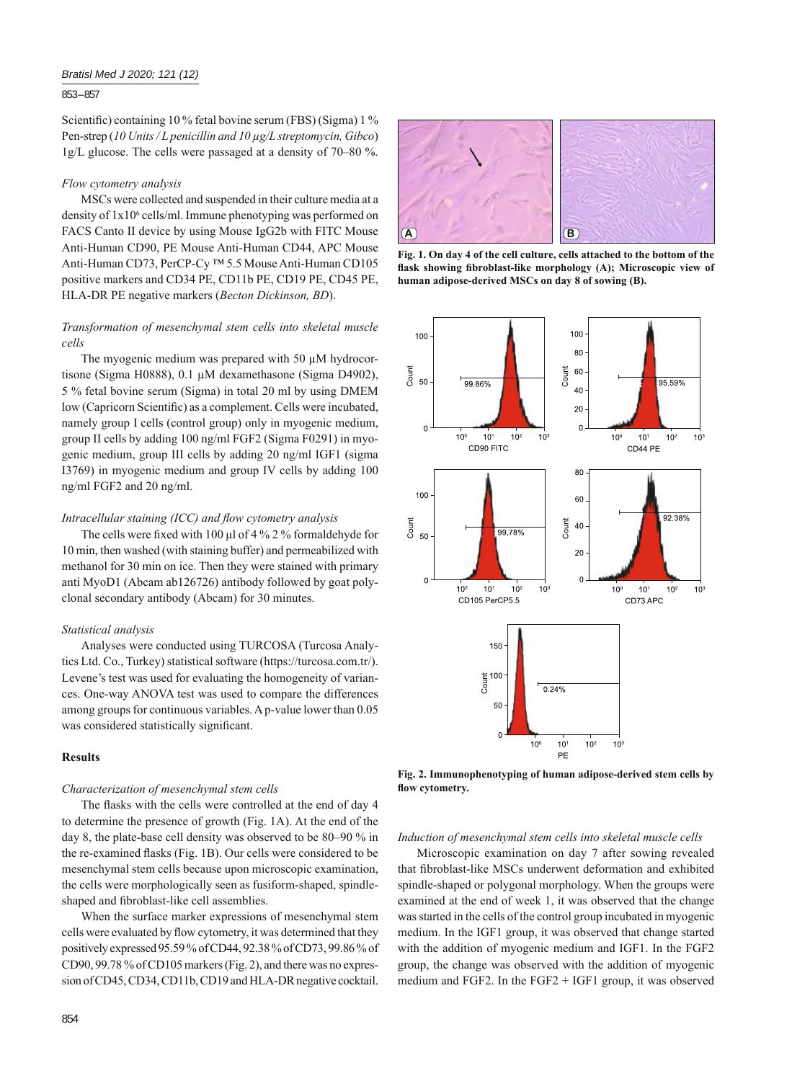## *Bratisl Med J 2020; 121 (12)*

853 – 857

Scientific) containing 10 % fetal bovine serum (FBS) (Sigma) 1 % Pen-strep (*10 Units / L penicillin and 10 μg/L streptomycin, Gibco*) 1g/L glucose. The cells were passaged at a density of 70‒80 %.

# *Flow cytometry analysis*

MSCs were collected and suspended in their culture media at a density of  $1x10^6$  cells/ml. Immune phenotyping was performed on FACS Canto II device by using Mouse IgG2b with FITC Mouse Anti-Human CD90, PE Mouse Anti-Human CD44, APC Mouse Anti-Human CD73, PerCP-Cy ™ 5.5 Mouse Anti-Human CD105 positive markers and CD34 PE, CD11b PE, CD19 PE, CD45 PE, HLA-DR PE negative markers (*Becton Dickinson, BD*).

# *Transformation of mesenchymal stem cells into skeletal muscle cells*

The myogenic medium was prepared with 50 μM hydrocortisone (Sigma H0888), 0.1 μM dexamethasone (Sigma D4902), 5 % fetal bovine serum (Sigma) in total 20 ml by using DMEM low (Capricorn Scientific) as a complement. Cells were incubated, namely group I cells (control group) only in myogenic medium, group II cells by adding 100 ng/ml FGF2 (Sigma F0291) in myogenic medium, group III cells by adding 20 ng/ml IGF1 (sigma I3769) in myogenic medium and group IV cells by adding 100 ng/ml FGF2 and 20 ng/ml.

# *Intracellular staining (ICC) and flow cytometry analysis*

The cells were fixed with 100  $\mu$ l of 4 % 2 % formaldehyde for 10 min, then washed (with staining buffer) and permeabilized with methanol for 30 min on ice. Then they were stained with primary anti MyoD1 (Abcam ab126726) antibody followed by goat polyclonal secondary antibody (Abcam) for 30 minutes.

### *Statistical analysis*

Analyses were conducted using TURCOSA (Turcosa Analytics Ltd. Co., Turkey) statistical software (https://turcosa.com.tr/). Levene's test was used for evaluating the homogeneity of variances. One-way ANOVA test was used to compare the differences among groups for continuous variables. A p-value lower than 0.05 was considered statistically significant.

# **Results**

## *Characterization of mesenchymal stem cells*

The flasks with the cells were controlled at the end of day 4 to determine the presence of growth (Fig. 1A). At the end of the day 8, the plate-base cell density was observed to be 80–90 % in the re-examined flasks (Fig. 1B). Our cells were considered to be mesenchymal stem cells because upon microscopic examination, the cells were morphologically seen as fusiform-shaped, spindleshaped and fibroblast-like cell assemblies.

When the surface marker expressions of mesenchymal stem cells were evaluated by flow cytometry, it was determined that they positively expressed 95.59 % of CD44, 92.38 % of CD73, 99.86 % of CD90, 99.78 % of CD105 markers (Fig. 2), and there was no expression of CD45, CD34, CD11b, CD19 and HLA-DR negative cocktail.



**Fig. 1. On day 4 of the cell culture, cells attached to the bottom of the**  flask showing fibroblast-like morphology (A); Microscopic view of **human adipose-derived MSCs on day 8 of sowing (B).**



**Fig. 2. Immunophenotyping of human adipose-derived stem cells by**  flow cytometry.

*Induction of mesenchymal stem cells into skeletal muscle cells*

Microscopic examination on day 7 after sowing revealed that fibroblast-like MSCs underwent deformation and exhibited spindle-shaped or polygonal morphology. When the groups were examined at the end of week 1, it was observed that the change was started in the cells of the control group incubated in myogenic medium. In the IGF1 group, it was observed that change started with the addition of myogenic medium and IGF1. In the FGF2 group, the change was observed with the addition of myogenic medium and FGF2. In the FGF2 + IGF1 group, it was observed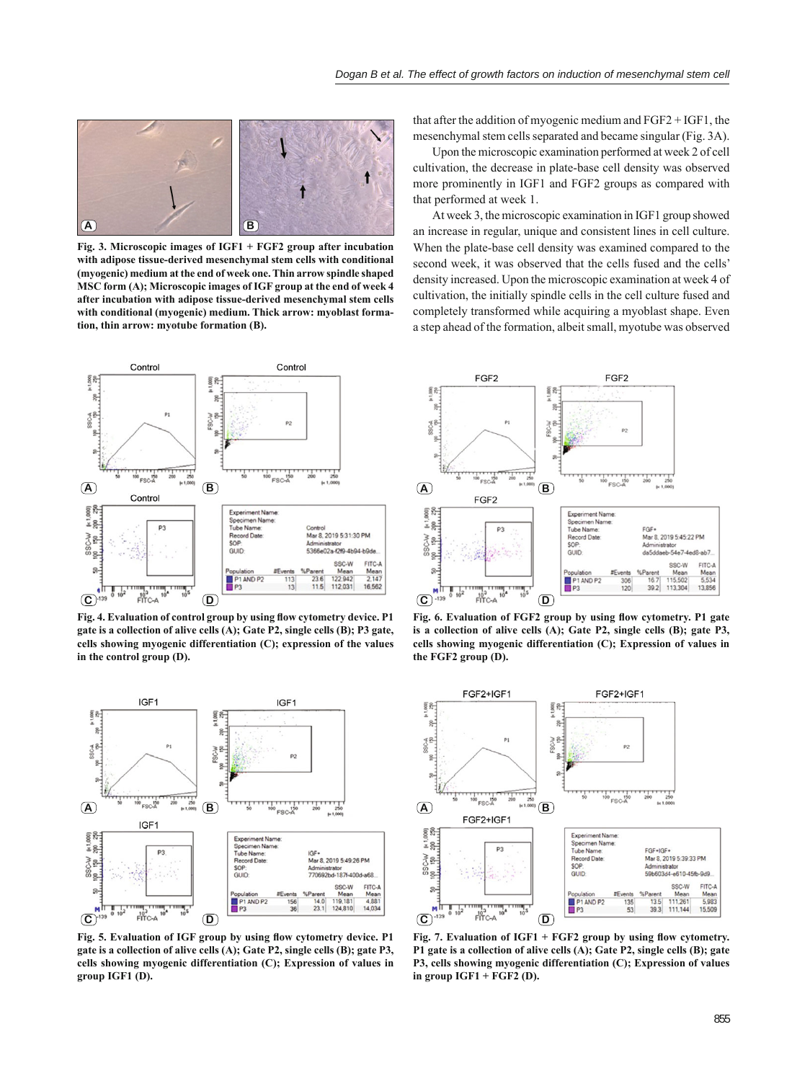

**Fig. 3. Microscopic images of IGF1 + FGF2 group after incubation with adipose tissue-derived mesenchymal stem cells with conditional (myogenic) medium at the end of week one. Thin arrow spindle shaped MSC form (A); Microscopic images of IGF group at the end of week 4 after incubation with adipose tissue-derived mesenchymal stem cells with conditional (myogenic) medium. Thick arrow: myoblast formation, thin arrow: myotube formation (B).**



Fig. 4. Evaluation of control group by using flow cytometry device. P1 **gate is a collection of alive cells (A); Gate P2, single cells (B); P3 gate, cells showing myogenic differentiation (C); expression of the values in the control group (D).**



Fig. 5. Evaluation of IGF group by using flow cytometry device. P1 **gate is a collection of alive cells (A); Gate P2, single cells (B); gate P3, cells showing myogenic differentiation (C); Expression of values in group IGF1 (D).**

that after the addition of myogenic medium and FGF2 + IGF1, the mesenchymal stem cells separated and became singular (Fig. 3A).

Upon the microscopic examination performed at week 2 of cell cultivation, the decrease in plate-base cell density was observed more prominently in IGF1 and FGF2 groups as compared with that performed at week 1.

At week 3, the microscopic examination in IGF1 group showed an increase in regular, unique and consistent lines in cell culture. When the plate-base cell density was examined compared to the second week, it was observed that the cells fused and the cells' density increased. Upon the microscopic examination at week 4 of cultivation, the initially spindle cells in the cell culture fused and completely transformed while acquiring a myoblast shape. Even a step ahead of the formation, albeit small, myotube was observed



Fig. 6. Evaluation of FGF2 group by using flow cytometry. P1 gate **is a collection of alive cells (A); Gate P2, single cells (B); gate P3, cells showing myogenic differentiation (C); Expression of values in the FGF2 group (D).**



Fig. 7. Evaluation of IGF1 + FGF2 group by using flow cytometry. **P1 gate is a collection of alive cells (A); Gate P2, single cells (B); gate P3, cells showing myogenic differentiation (C); Expression of values in group IGF1 + FGF2 (D).**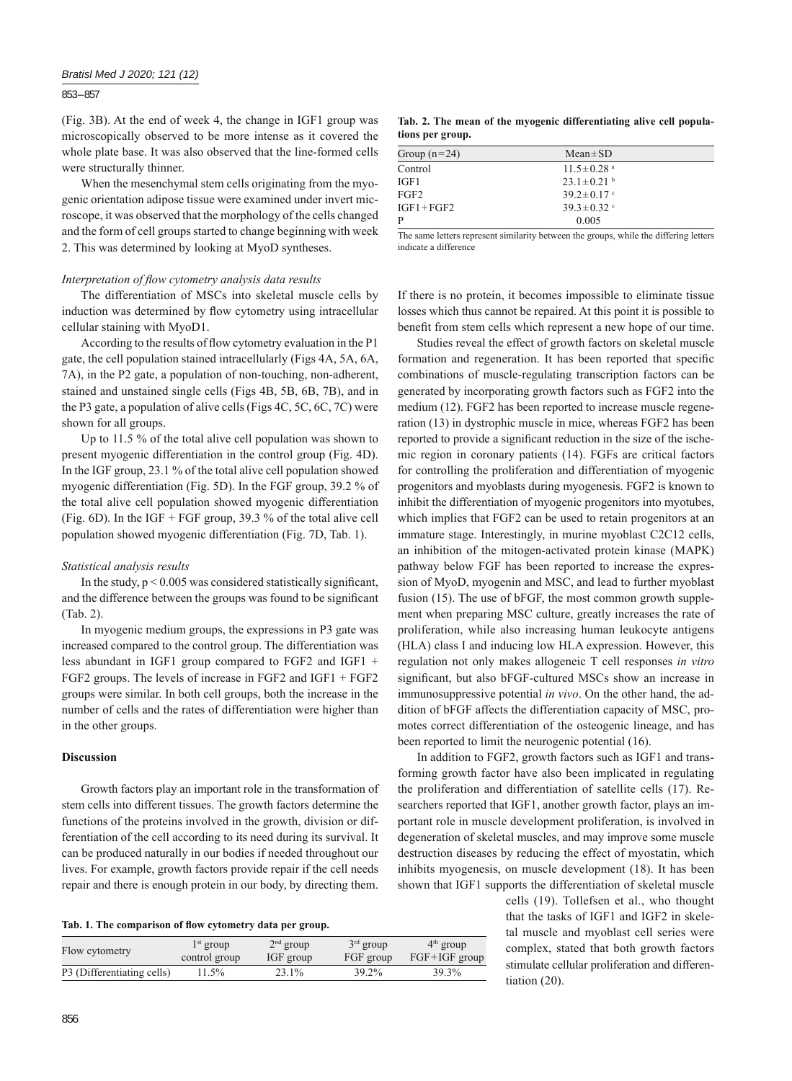#### 853 – 857

(Fig. 3B). At the end of week 4, the change in IGF1 group was microscopically observed to be more intense as it covered the whole plate base. It was also observed that the line-formed cells were structurally thinner.

When the mesenchymal stem cells originating from the myogenic orientation adipose tissue were examined under invert microscope, it was observed that the morphology of the cells changed and the form of cell groups started to change beginning with week 2. This was determined by looking at MyoD syntheses.

#### *Interpretation of flow cytometry analysis data results*

The differentiation of MSCs into skeletal muscle cells by induction was determined by flow cytometry using intracellular cellular staining with MyoD1.

According to the results of flow cytometry evaluation in the P1 gate, the cell population stained intracellularly (Figs 4A, 5A, 6A, 7A), in the P2 gate, a population of non-touching, non-adherent, stained and unstained single cells (Figs 4B, 5B, 6B, 7B), and in the P3 gate, a population of alive cells (Figs 4C, 5C, 6C, 7C) were shown for all groups.

Up to 11.5 % of the total alive cell population was shown to present myogenic differentiation in the control group (Fig. 4D). In the IGF group, 23.1 % of the total alive cell population showed myogenic differentiation (Fig. 5D). In the FGF group, 39.2 % of the total alive cell population showed myogenic differentiation (Fig. 6D). In the IGF + FGF group,  $39.3\%$  of the total alive cell population showed myogenic differentiation (Fig. 7D, Tab. 1).

# *Statistical analysis results*

In the study,  $p < 0.005$  was considered statistically significant, and the difference between the groups was found to be significant (Tab. 2).

In myogenic medium groups, the expressions in P3 gate was increased compared to the control group. The differentiation was less abundant in IGF1 group compared to FGF2 and IGF1 + FGF2 groups. The levels of increase in FGF2 and IGF1 + FGF2 groups were similar. In both cell groups, both the increase in the number of cells and the rates of differentiation were higher than in the other groups.

# **Discussion**

Growth factors play an important role in the transformation of stem cells into different tissues. The growth factors determine the functions of the proteins involved in the growth, division or differentiation of the cell according to its need during its survival. It can be produced naturally in our bodies if needed throughout our lives. For example, growth factors provide repair if the cell needs repair and there is enough protein in our body, by directing them.

| Flow cytometry             | $1st$ group   | $2nd$ group | $3rd$ group | $4th$ group     |
|----------------------------|---------------|-------------|-------------|-----------------|
|                            | control group | IGF group   | FGF group   | $FGF+IGF$ group |
| P3 (Differentiating cells) | 11.5%         | 23.1%       | 39.2%       | 39.3%           |

**Tab. 2. The mean of the myogenic differentiating alive cell populations per group.**

| $Mean \pm SD$                |  |
|------------------------------|--|
| $11.5 \pm 0.28$ <sup>a</sup> |  |
| $23.1 \pm 0.21$ <sup>b</sup> |  |
| $39.2 \pm 0.17$ c            |  |
| $39.3 \pm 0.32$ c            |  |
| 0.005                        |  |
|                              |  |

The same letters represent similarity between the groups, while the differing letters indicate a difference

If there is no protein, it becomes impossible to eliminate tissue losses which thus cannot be repaired. At this point it is possible to benefit from stem cells which represent a new hope of our time.

Studies reveal the effect of growth factors on skeletal muscle formation and regeneration. It has been reported that specific combinations of muscle-regulating transcription factors can be generated by incorporating growth factors such as FGF2 into the medium (12). FGF2 has been reported to increase muscle regeneration (13) in dystrophic muscle in mice, whereas FGF2 has been reported to provide a significant reduction in the size of the ischemic region in coronary patients (14). FGFs are critical factors for controlling the proliferation and differentiation of myogenic progenitors and myoblasts during myogenesis. FGF2 is known to inhibit the differentiation of myogenic progenitors into myotubes, which implies that FGF2 can be used to retain progenitors at an immature stage. Interestingly, in murine myoblast C2C12 cells, an inhibition of the mitogen-activated protein kinase (MAPK) pathway below FGF has been reported to increase the expression of MyoD, myogenin and MSC, and lead to further myoblast fusion (15). The use of bFGF, the most common growth supplement when preparing MSC culture, greatly increases the rate of proliferation, while also increasing human leukocyte antigens (HLA) class I and inducing low HLA expression. However, this regulation not only makes allogeneic T cell responses *in vitro* significant, but also bFGF-cultured MSCs show an increase in immunosuppressive potential *in vivo*. On the other hand, the addition of bFGF affects the differentiation capacity of MSC, promotes correct differentiation of the osteogenic lineage, and has been reported to limit the neurogenic potential (16).

In addition to FGF2, growth factors such as IGF1 and transforming growth factor have also been implicated in regulating the proliferation and differentiation of satellite cells (17). Researchers reported that IGF1, another growth factor, plays an important role in muscle development proliferation, is involved in degeneration of skeletal muscles, and may improve some muscle destruction diseases by reducing the effect of myostatin, which inhibits myogenesis, on muscle development (18). It has been shown that IGF1 supports the differentiation of skeletal muscle

cells (19). Tollefsen et al., who thought that the tasks of IGF1 and IGF2 in skeletal muscle and myoblast cell series were complex, stated that both growth factors stimulate cellular proliferation and differentiation (20).